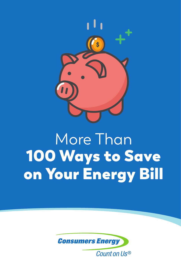

# More Than 100 Ways to Save on Your Energy Bill

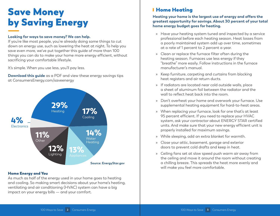## Save Money by Saving Energy

#### **Looking for ways to save money? We can help.**

If you're like most people, you're already doing some things to cut down on energy use, such as lowering the heat at night. To help you save even more, we've put together this guide of more than 100 things you can do to make your home more energy efficient, without sacrificing your comfortable lifestyle.

It's simple. When you use less, you'll pay less.

**Download this guide** as a PDF and view these energy savings tips at ConsumersEnergy.com/saveenergy



#### Home Energy and You

As much as half of the energy used in your home goes to heating and cooling. So making smart decisions about your home's heating, ventilating and air conditioning (HVAC) system can have a big impact on your energy bills — and your comfort.

### Home Heating

**Heating your home is the largest use of energy and offers the greatest opportunity for savings. About 30 percent of your total home energy budget goes for heating.**

- » Have your heating system tuned and inspected by a service professional before each heating season. Heat losses from a poorly maintained system add up over time, sometimes at a rate of 1 percent to 2 percent a year.
- » Clean or replace the furnace filter often during the heating season. Furnaces use less energy if they "breathe" more easily. Follow instructions in the furnace manufacturer's manual.
- » Keep furniture, carpeting and curtains from blocking heat registers and air return ducts.
- » If radiators are located near cold outside walls, place a sheet of aluminum foil between the radiator and the wall to reflect heat back into the room.
- » Don't overheat your home and overwork your furnace. Use supplemental heating equipment for hard-to-heat areas.
- » When replacing your furnace, look for one that's at least 95 percent efficient. If you need to replace your HVAC system, ask your contractor about ENERGY STAR certified units. And make sure that your new energy efficient unit is properly installed for maximum savings.
- » While sleeping, add an extra blanket for warmth.
- » Close your attic, basement, garage and exterior doors to prevent cold drafts and keep in heat.
- » Ceiling fans set at slow speed push warm air away from the ceiling and move it around the room without creating a chilling breeze. This spreads the heat more evenly and will make you feel more comfortable.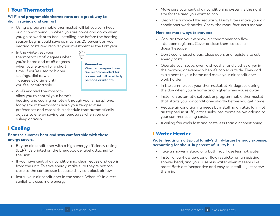### Your Thermostat

#### **Wi-Fi and programable thermostats are a great way to dial in savings and comfort.**

- » Using a programmable thermostat will let you turn heat or air conditioning up when you are home and down when you go to work or to bed. Installing one before the heating season begins could save as much as 20 percent on your heating costs and recover your investment in the first year.
- » In the winter, set your thermostat at 68 degrees when you're home and at 65 degrees when you're away for a short time. If you're used to higher settings, dial down 1 degree at a time until you feel comfortable.

**Remember: Warmer temperatures are recommended for homes with ill or elderly persons or infants.**

» Wi-Fi enabled thermostats allow you to control your home's

heating and cooling remotely through your smartphone. Many smart thermostats learn your temperature preferences and establish a schedule that automatically adjusts to energy saving temperatures when you are asleep or away.

### Cooling

#### **Beat the summer heat and stay comfortable with these energy savers.**

- » Buy an air conditioner with a high energy efficiency rating (EER). It's printed on the EnergyGuide label attached to the unit.
- » If you have central air conditioning, clean leaves and debris from the unit. To save energy, make sure they're not too close to the compressor because they can block airflow.
- » Install your air conditioner in the shade. When it's in direct sunlight, it uses more energy.
- » Make sure your central air conditioning system is the right size for the area you want to cool.
- » Clean the furnace filter regularly. Dusty filters make your air conditioner work harder. Check the manufacturer's manual.

#### **Here are more ways to stay cool.**

- » Cool air from your window air conditioner can flow into open registers. Cover or close them so cool air doesn't escape.
- » Don't cool unused areas. Close doors and registers to cut energy costs.
- » Operate your stove, oven, dishwasher and clothes dryer in the morning or evening when it's cooler outside. They add extra heat to your home and make your air conditioner work harder.
- » In the summer, set your thermostat at 78 degrees during the day when you're home and higher when you're away.
- » Install an automatic setback or programmable thermostat that starts your air conditioner shortly before you get home.
- » Reduce air conditioning needs by installing an attic fan. Hot air trapped in stuffy attics sinks into rooms below, adding to your summer cooling costs.
- » A ceiling fan cools fast and costs less than air conditioning.

### Water Heater

### **Water heating is a typical family's third-largest energy expense, accounting for about 14 percent of utility bills.**

- » Take a shower instead of a bath. You'll use less hot water.
- » Install a low-flow aerator or flow restrictor on an existing shower head, and you'll use less water when it seems like more! Both are inexpensive and easy to install — just screw them in.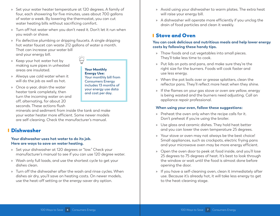- » Set your water heater temperature at 120 degrees. A family of four, each showering for five minutes, uses about 700 gallons of water a week. By lowering the thermostat, you can cut water heating bills without sacrificing comfort.
- » Turn off hot water when you don't need it. Don't let it run when you wash or shave.
- » Fix defective plumbing or dripping faucets. A single dripping hot water faucet can waste 212 gallons of water a month. That can increase your water bill and your energy bill.
- » Keep your hot water hot by making sure pipes in unheated areas are insulated.
- » Always use cold water when it will do the job as well as hot.
- » Once a year, drain the water heater tank completely, then turn the incoming water on and off, alternating, for about 20 seconds. These actions flush

Energy Use: **Your monthly bill from Consumers Energy includes 13 months of your energy use data and cost per day.**

Your Monthly

minerals and sediment from inside the tank and make your water heater more efficient. Some newer models are self-cleaning. Check the manufacturer's manual.

### Dishwasher

#### **Your dishwasher uses hot water to do its job. Here are ways to save on water heating.**

- » Set your dishwasher at 120 degrees or "low." Check your manufacturer's manual to see if you can use 120 degree water.
- » Wash only full loads, and use the shortest cycle to get your dishes clean.
- » Turn off the dishwasher after the wash and rinse cycles. When dishes air dry, you'll save on heating costs. On newer models, use the heat-off setting or the energy-saver dry option.
- » Avoid using your dishwasher to warm plates. The extra heat will raise your energy bill.
- » A dishwasher will operate more efficiently if you unclog the drain of food particles and clean it weekly.

### Stove and Oven

#### **You can cook delicious and nutritious meals and help lower energy costs by following these handy tips.**

- » Thaw foods and cut vegetables into small pieces. They'll take less time to cook.
- » Put lids on pots and pans, and make sure they're the right size for the burners. Foods will cook faster and use less energy.
- » When the pot boils over or grease splatters, clean the reflector pans. They'll reflect more heat when they shine.
- » If the flames on your gas stove or oven are yellow, energy is being wasted and the burners need adjusting. Call an appliance repair professional.

#### **When using your oven, follow these suggestions:**

- » Preheat the oven only when the recipe calls for it. Don't preheat if you're using the broiler.
- » Use glass and ceramic dishes. They hold heat better and you can lower the oven temperature 25 degrees.
- » Your stove or oven may not always be the best choice! Small appliances, such as crockpots, electric frying pans and your microwave oven may be more energy efficient.
- » Open the oven door to peek at food inside, and you'll lose 25 degrees to 75 degrees of heat. It's best to look through the window or wait until the food is almost done before opening the door.
- » If you have a self-cleaning oven, clean it immediately after use. Because it's already hot, it will take less energy to get to the heat-cleaning stage.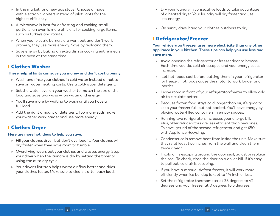- » In the market for a new gas stove? Choose a model with electronic igniters instead of pilot lights for the highest efficiency.
- » A microwave is best for defrosting and cooking small portions; an oven is more efficient for cooking large items, such as turkeys and roasts.
- » When your electric burners are worn out and don't work properly, they use more energy. Save by replacing them.
- » Save energy by baking an extra dish or cooking entire meals in the oven at the same time.

### Clothes Washer

#### **These helpful hints can save you money and don't cost a penny.**

- » Wash and rinse your clothes in cold water instead of hot to save on water heating costs. Use a cold-water detergent.
- » Set the water level on your washer to match the size of the load and save two ways — on water and energy.
- » You'll save more by waiting to wash until you have a full load.
- » Add the right amount of detergent. Too many suds make your washer work harder and use more energy.

### Clothes Dryer

#### **Here are more hot ideas to help you save.**

- » Fill your clothes dryer, but don't overload it. Your clothes will dry faster when they have room to tumble.
- » Overdrying wears out your clothes and wastes energy. Stop your dryer when the laundry is dry by setting the timer or using the auto dry cycle.
- » Your dryer's lint trap helps warm air flow better and dries your clothes faster. Make sure to clean it after each load.
- » Dry your laundry in consecutive loads to take advantage of a heated dryer. Your laundry will dry faster and use less energy.
- » On sunny days, hang your clothes outdoors to dry.

### Refrigerator/Freezer

#### **Your refrigerator/freezer uses more electricity than any other appliance in your kitchen. These tips can help you use less and save more.**

- » Avoid opening the refrigerator or freezer door to browse. Each time you do, cold air escapes and your energy costs increase.
- » Let hot foods cool before putting them in your refrigerator or freezer. Hot foods cause the motor to work longer and harder.
- » Leave room in front of your refrigerator/freezer to allow cold air to circulate better.
- » Because frozen food stays cold longer than air, it's good to keep your freezer full, but not packed. You'll save energy by placing water-filled containers in empty spaces.
- » Running two refrigerators increases your energy bill. Plus, older refrigerators are less efficient than new ones. To save, get rid of the second refrigerator and get \$50 with Appliance Recycling.
- » Condenser coils remove heat from inside the unit. Make sure they're at least two inches from the wall and clean them twice a year.
- » If cold air is escaping around the door seal, adjust or replace the seal. To check, close the door on a dollar bill. If it's easy to pull out, cold air is escaping.
- » If you have a manual-defrost freezer, it will work more efficiently when ice buildup is kept to 1/4 inch or less.
- » Set the refrigerator thermometer at 38 degrees to 42 degrees and your freezer at 0 degrees to 5 degrees.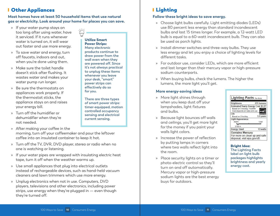### Other Appliances

**Most homes have at least 50 household items that use natural gas or electricity. Look around your home for places you can save.**

- » If your water pump stays on too long after using water, have it serviced. If it runs whenever water is turned on, it will wear out faster and use more energy.
- » To save water and energy, turn off faucets, indoors and out, when you're done using them.
- » Make sure the toilet handle doesn't stick after flushing. It wastes water and makes your water pump run longer.
- » Be sure the thermostats on appliances work properly. If the thermostat sticks, the appliance stays on and raises your energy bill.
- » Turn off the humidifier or dehumidifier when they're not needed.

» After making your coffee in the morning, turn off your coffeemaker and pour the leftover coffee into an insulated container to keep it hot.

- » Turn off the TV, DVR, DVD player, stereo or radio when no one is watching or listening.
- » If your water pipes are wrapped with insulating electric heat tape, turn it off when the weather warms up.
- » Use small appliances that plug into electrical outlets instead of rechargeable devices, such as hand-held vacuum cleaners and lawn trimmers which use more energy.
- » Unplug electronics when not in use. Computers, DVD players, televisions and other electronics, including power strips, use energy when they're plugged in — even though they're turned off.

#### Utilize Smart Power Strips: **Many electronic**

**products continue to draw power from the wall even when they are powered off. Since it's not always practical to unplug these items whenever you leave your desk, "smart" power strips can effectively do so for you.**

**There are three types of smart power strips: timer-equipped, motion controlled occupancy sensing and electrical current sensing.**

### Lighting

### **Follow these bright ideas to save energy.**

- » Choose light bulbs carefully. Light emitting diodes (LEDs) use 80 percent less energy than standard incandescent bulbs and last 15 times longer. For example, a 12-watt LED bulb is equal to a 60-watt incandescent bulb. They can also be used as porch lights.
- » Install dimmer switches and three-way bulbs. They use less energy and let you enjoy a choice of lighting levels for different tasks.
- » For outdoor use, consider LEDs, which are more efficient and last longer than their mercury vapor or high-pressure sodium counterparts.
- » When buying bulbs, check the lumens. The higher the lumens, the more light you'll get.

### **More energy-saving ideas**

- » More light shines through when you keep dust off your lampshades, light fixtures and bulbs.
- » Because light bounces off walls and ceilings, you'll get more light for the money if you paint your walls light colors.
- » Increase the power of reflection by putting lamps in corners where two walls reflect light into the room.
- » Place security lights on a timer or photo-electric control so they'll turn on and off automatically. Mercury vapor or high-pressure sodium lights are the best energy buys for outdoors.





Bright Idea: **The Lighting Facts label on light bulb packages highlights brightness and yearly energy cost.**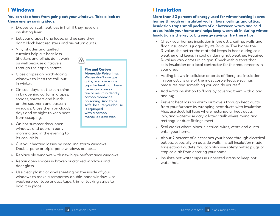### Windows

#### **You can stop heat from going out your windows. Take a look at these energy saving ideas.**

- » Drapes can cut heat loss in half if they have an insulating liner.
- » Let your drapes hang loose, and be sure they don't block heat registers and air-return ducts.
- » Vinyl shades and quilted curtains help cut heat loss. Shutters and blinds don't work as well because air travels through their open spaces.
- » Close drapes on north-facing windows to keep the chill out in winter.
- » On cool days, let the sun shine in by opening curtains, drapes, shades, shutters and blinds on the southern and eastern windows. Close them on cloudy days and at night to keep heat from escaping.

» On hot summer days, open windows and doors in early morning and in the evening to let cool air in.

Monoxide Poisoning: **Please don't use gas grills, ovens or range tops for heating. These items can cause a fire or result in deadly carbon monoxide poisoning. And to be safe, be sure your house is equipped with a carbon monoxide detector.**

Fire and Carbon

- » Cut your heating losses by installing storm windows. Double-pane or triple-pane windows are best.
- » Replace old windows with new high-performance windows.
- » Repair open spaces in broken or cracked windows and door glass.
- » Use clear plastic or vinyl sheeting on the inside of your windows to make a temporary double-pane window. Use weatherproof tape or duct tape, trim or tacking strips to hold it in place.

### Insulation

**More than 50 percent of energy used for winter heating leaves homes through uninsulated walls, floors, ceilings and attics. Insulation traps small pockets of air between warm and cold areas inside your home and helps keep warm air in during winter. Insulation is the key to big energy savings. Try these tips.**

- » Check your home's insulation in the attic, ceiling, walls and floor. Insulation is judged by its R-value. The higher the R-value, the better the material keeps in heat during cold weather and keeps in cool air during hot weather. Required R-values vary across Michigan. Check with a store that sells insulation or a local contractor for the requirements in your area.
- » Adding blown-in cellulose or batts of fiberglass insulation in your attic is one of the most cost-effective savings measures and something you can do yourself.
- » Add extra insulation to floors by covering them with a pad and rug.
- » Prevent heat loss as warm air travels through heat ducts from your furnace by wrapping heat ducts with insulation. Also, use duct foil tape where rectangular heat ducts join, and waterbase acrylic latex caulk where round and rectangular duct fittings meet.
- » Seal cracks where pipes, electrical wires, vents and ducts enter your home.
- » About 2 percent of air escapes your home through electrical outlets, especially on outside walls. Install insulation made for electrical outlets. You can also use safety outlet plugs to stop cold air from entering your home.
- » Insulate hot water pipes in unheated areas to keep hot water hot.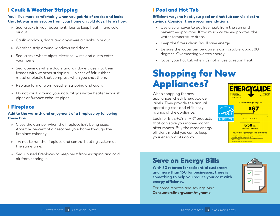### Caulk & Weather Stripping

#### **You'll live more comfortably when you get rid of cracks and leaks that let warm air escape from your home on cold days. Here's how.**

- » Seal cracks in your basement floor to keep heat in and cold air out.
- » Caulk windows, doors and anywhere air leaks in or out.
- » Weather-strip around windows and doors.
- » Seal cracks where pipes, electrical wires and ducts enter your home.
- » Seal openings where doors and windows close into their frames with weather stripping — pieces of felt, rubber, metal or plastic that compress when you shut them.
- » Replace torn or worn weather stripping and caulk.
- » Do not caulk around your natural gas water heater exhaust pipes or furnace exhaust pipes.

### Fireplace

#### **Add to the warmth and enjoyment of a fireplace by following these tips.**

- » Close the damper when the fireplace isn't being used. About 14 percent of air escapes your home through the fireplace chimney.
- » Try not to run the fireplace and central heating system at the same time.
- » Seal unused fireplaces to keep heat from escaping and cold air from coming in.

### Pool and Hot Tub

#### **Efficient ways to heat your pool and hot tub can yield extra savings. Consider these recommendations.**

- » Use a solar cover to get free heat from the sun and prevent evaporation. If too much water evaporates, the water temperature drops
- » Keep the filters clean. You'll save energy
- » Be sure the water temperature is comfortable, about 80 degrees. Overheating wastes energy
- » Cover your hot tub when it's not in use to retain heat

## Shopping for New Appliances?

When shopping for new appliances, check EnergyGuide labels. They provide the annual operating cost and efficiency ratings of the appliance.

Look for ENERGY STAR<sup>®</sup> products that can save you money month after month. Buy the most energy efficient model you can to keep your energy costs down.



## Save on Energy Bills

**With 50 rebates for residential customers and more than 150 for businesses, there is something to help you reduce your cost with energy efficiency.**

For home rebates and savings, visit **ConsumersEnergy.com/myhome**